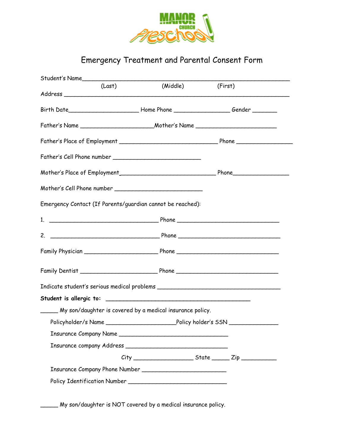

## Emergency Treatment and Parental Consent Form

| (Last)                                                                                              | (Middle) | (First) |
|-----------------------------------------------------------------------------------------------------|----------|---------|
| Birth Date________________________________Home Phone __________________________Gender _____________ |          |         |
|                                                                                                     |          |         |
|                                                                                                     |          |         |
|                                                                                                     |          |         |
|                                                                                                     |          |         |
|                                                                                                     |          |         |
| Emergency Contact (If Parents/guardian cannot be reached):                                          |          |         |
|                                                                                                     |          |         |
|                                                                                                     |          |         |
|                                                                                                     |          |         |
|                                                                                                     |          |         |
|                                                                                                     |          |         |
|                                                                                                     |          |         |
| _____ My son/daughter is covered by a medical insurance policy.                                     |          |         |
|                                                                                                     |          |         |
|                                                                                                     |          |         |
|                                                                                                     |          |         |
|                                                                                                     |          |         |
|                                                                                                     |          |         |
|                                                                                                     |          |         |
| My son/daughter is NOT covered by a medical insurance policy.                                       |          |         |